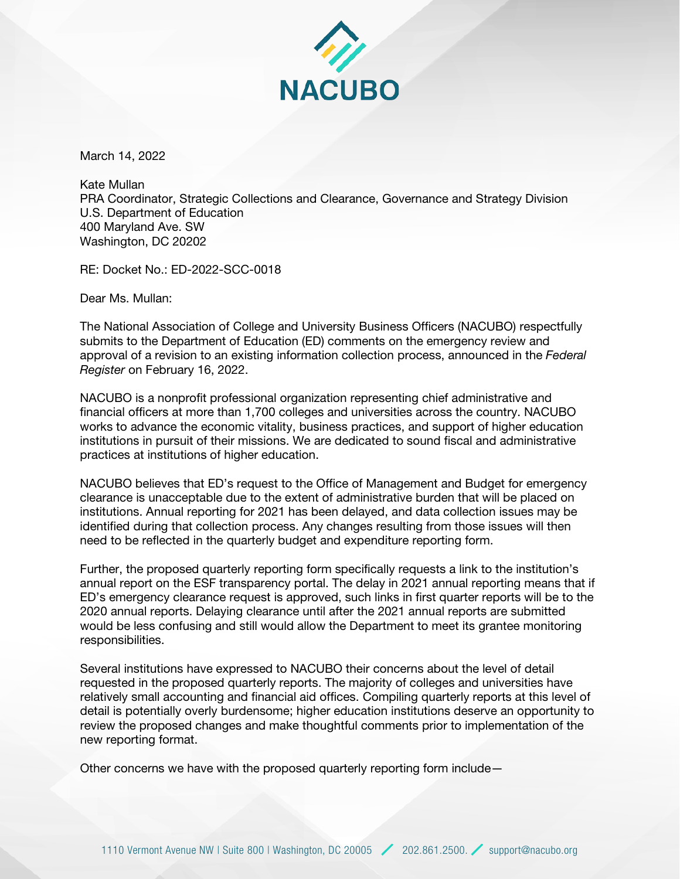

March 14, 2022

Kate Mullan PRA Coordinator, Strategic Collections and Clearance, Governance and Strategy Division U.S. Department of Education 400 Maryland Ave. SW Washington, DC 20202

RE: Docket No.: ED-2022-SCC-0018

Dear Ms. Mullan:

The National Association of College and University Business Officers (NACUBO) respectfully submits to the Department of Education (ED) comments on the emergency review and approval of a revision to an existing information collection process, announced in the *Federal Register* on February 16, 2022.

NACUBO is a nonprofit professional organization representing chief administrative and financial officers at more than 1,700 colleges and universities across the country. NACUBO works to advance the economic vitality, business practices, and support of higher education institutions in pursuit of their missions. We are dedicated to sound fiscal and administrative practices at institutions of higher education.

NACUBO believes that ED's request to the Office of Management and Budget for emergency clearance is unacceptable due to the extent of administrative burden that will be placed on institutions. Annual reporting for 2021 has been delayed, and data collection issues may be identified during that collection process. Any changes resulting from those issues will then need to be reflected in the quarterly budget and expenditure reporting form.

Further, the proposed quarterly reporting form specifically requests a link to the institution's annual report on the ESF transparency portal. The delay in 2021 annual reporting means that if ED's emergency clearance request is approved, such links in first quarter reports will be to the 2020 annual reports. Delaying clearance until after the 2021 annual reports are submitted would be less confusing and still would allow the Department to meet its grantee monitoring responsibilities.

Several institutions have expressed to NACUBO their concerns about the level of detail requested in the proposed quarterly reports. The majority of colleges and universities have relatively small accounting and financial aid offices. Compiling quarterly reports at this level of detail is potentially overly burdensome; higher education institutions deserve an opportunity to review the proposed changes and make thoughtful comments prior to implementation of the new reporting format.

Other concerns we have with the proposed quarterly reporting form include—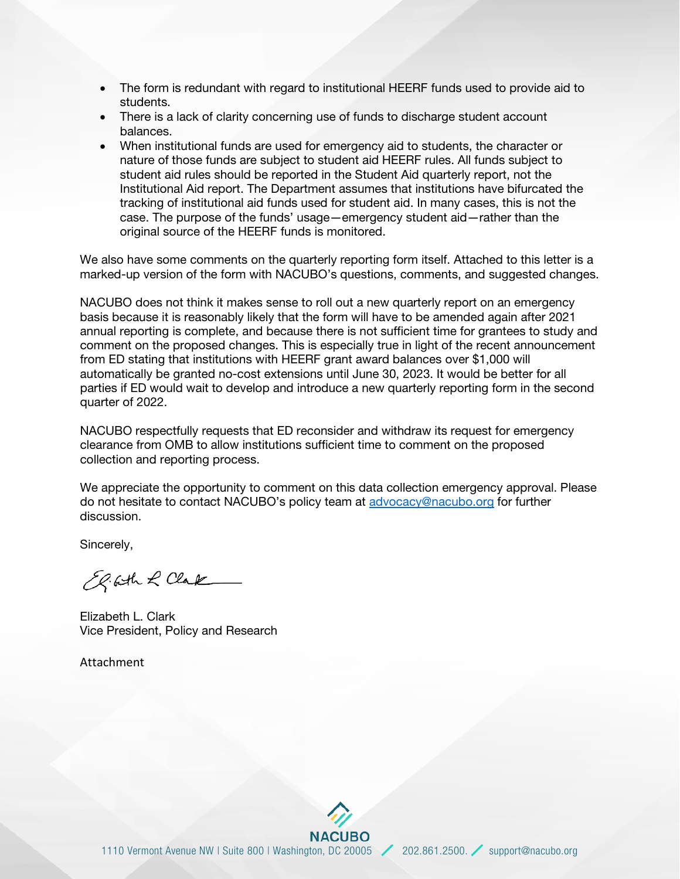- The form is redundant with regard to institutional HEERF funds used to provide aid to students.
- There is a lack of clarity concerning use of funds to discharge student account balances.
- When institutional funds are used for emergency aid to students, the character or nature of those funds are subject to student aid HEERF rules. All funds subject to student aid rules should be reported in the Student Aid quarterly report, not the Institutional Aid report. The Department assumes that institutions have bifurcated the tracking of institutional aid funds used for student aid. In many cases, this is not the case. The purpose of the funds' usage—emergency student aid—rather than the original source of the HEERF funds is monitored.

We also have some comments on the quarterly reporting form itself. Attached to this letter is a marked-up version of the form with NACUBO's questions, comments, and suggested changes.

NACUBO does not think it makes sense to roll out a new quarterly report on an emergency basis because it is reasonably likely that the form will have to be amended again after 2021 annual reporting is complete, and because there is not sufficient time for grantees to study and comment on the proposed changes. This is especially true in light of the recent announcement from ED stating that institutions with HEERF grant award balances over \$1,000 will automatically be granted no-cost extensions until June 30, 2023. It would be better for all parties if ED would wait to develop and introduce a new quarterly reporting form in the second quarter of 2022.

NACUBO respectfully requests that ED reconsider and withdraw its request for emergency clearance from OMB to allow institutions sufficient time to comment on the proposed collection and reporting process.

We appreciate the opportunity to comment on this data collection emergency approval. Please do not hesitate to contact NACUBO's policy team at [advocacy@nacubo.org](mailto:advocacy@nacubo.org) for further discussion.

Sincerely,

El Geth & Clark

Elizabeth L. Clark Vice President, Policy and Research

Attachment

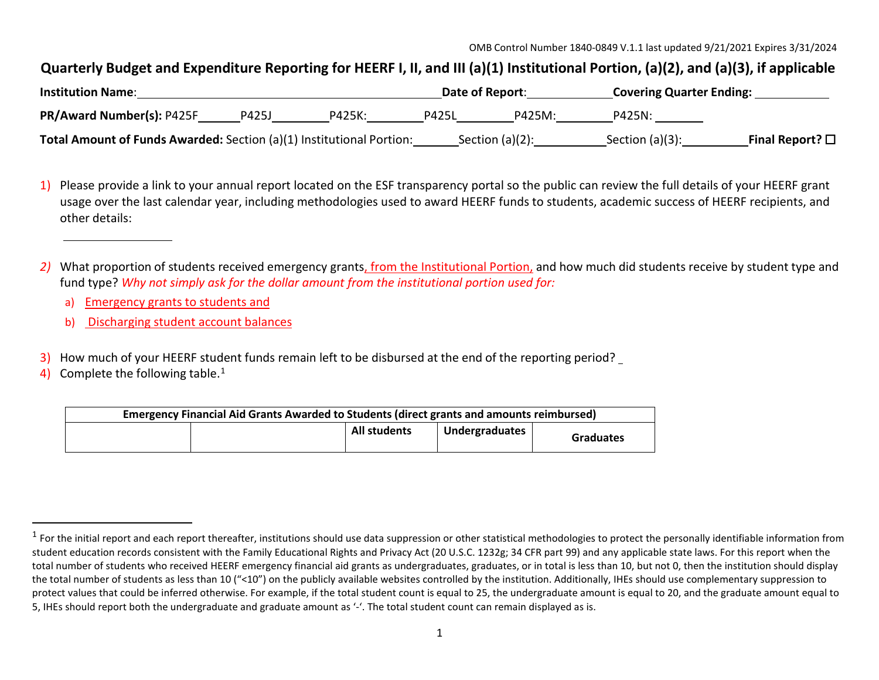## <span id="page-2-0"></span>Quarterly Budget and Expenditure Reporting for HEERF I, II, and III (a)(1) Institutional Portion, (a)(2), and (a)(3), if applicable

| <b>Institution Name:</b>                                                    |       | Date of Report: |              | <b>Covering Quarter Ending:</b> |                    |                         |
|-----------------------------------------------------------------------------|-------|-----------------|--------------|---------------------------------|--------------------|-------------------------|
| PR/Award Number(s): P425F                                                   | P425J | P425K:          | <b>P425L</b> | P425M:                          | P425N:             |                         |
| <b>Total Amount of Funds Awarded:</b> Section (a)(1) Institutional Portion: |       |                 |              | Section $(a)(2)$ :              | Section $(a)(3)$ : | Final Report? $\square$ |

1) Please provide a link to your annual report located on the ESF transparency portal so the public can review the full details of your HEERF grant usage over the last calendar year, including methodologies used to award HEERF funds to students, academic success of HEERF recipients, and other details:

- a) Emergency grants to students and
- b) Discharging student account balances
- 3) How much of your HEERF student funds remain left to be disbursed at the end of the reporting period?
- 4) Complete the following table.<sup>[1](#page-2-0)</sup>

| Emergency Financial Aid Grants Awarded to Students (direct grants and amounts reimbursed) |  |                     |                |                  |
|-------------------------------------------------------------------------------------------|--|---------------------|----------------|------------------|
|                                                                                           |  | <b>All students</b> | Undergraduates | <b>Graduates</b> |

*<sup>2)</sup>* What proportion of students received emergency grants, from the Institutional Portion, and how much did students receive by student type and fund type? *Why not simply ask for the dollar amount from the institutional portion used for:*

 $1$  For the initial report and each report thereafter, institutions should use data suppression or other statistical methodologies to protect the personally identifiable information from student education records consistent with the Family Educational Rights and Privacy Act (20 U.S.C. 1232g; 34 CFR part 99) and any applicable state laws. For this report when the total number of students who received HEERF emergency financial aid grants as undergraduates, graduates, or in total is less than 10, but not 0, then the institution should display the total number of students as less than 10 ("<10") on the publicly available websites controlled by the institution. Additionally, IHEs should use complementary suppression to protect values that could be inferred otherwise. For example, if the total student count is equal to 25, the undergraduate amount is equal to 20, and the graduate amount equal to 5, IHEs should report both the undergraduate and graduate amount as '-'. The total student count can remain displayed as is.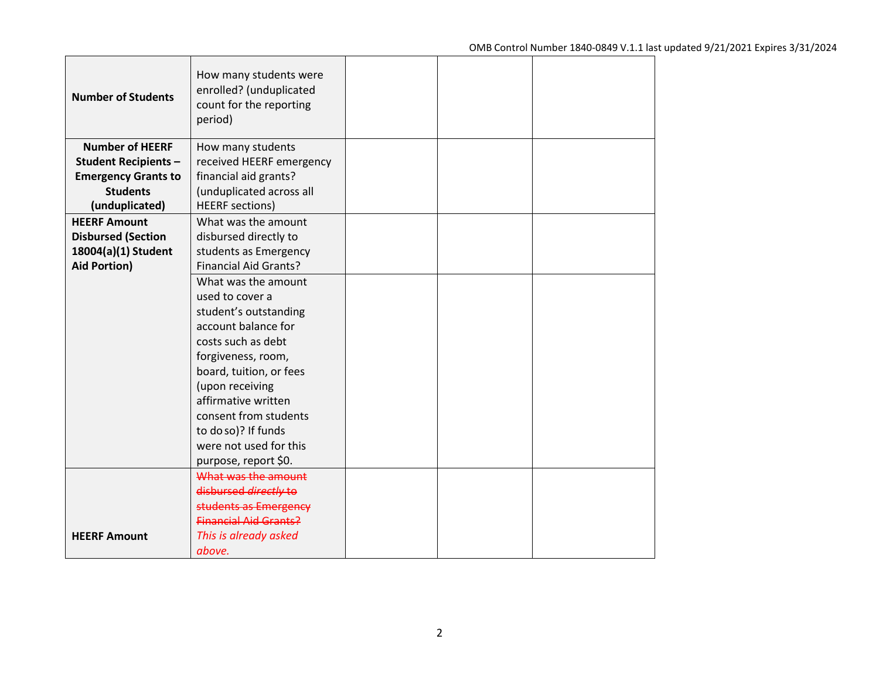| <b>Number of Students</b>  | How many students were<br>enrolled? (unduplicated<br>count for the reporting<br>period) |  |  |
|----------------------------|-----------------------------------------------------------------------------------------|--|--|
| <b>Number of HEERF</b>     | How many students                                                                       |  |  |
| <b>Student Recipients-</b> | received HEERF emergency                                                                |  |  |
| <b>Emergency Grants to</b> | financial aid grants?                                                                   |  |  |
| <b>Students</b>            | (unduplicated across all                                                                |  |  |
| (unduplicated)             | <b>HEERF</b> sections)                                                                  |  |  |
| <b>HEERF Amount</b>        | What was the amount                                                                     |  |  |
| <b>Disbursed (Section</b>  | disbursed directly to                                                                   |  |  |
| 18004(a)(1) Student        | students as Emergency                                                                   |  |  |
| <b>Aid Portion)</b>        | <b>Financial Aid Grants?</b>                                                            |  |  |
|                            | What was the amount                                                                     |  |  |
|                            | used to cover a                                                                         |  |  |
|                            | student's outstanding                                                                   |  |  |
|                            | account balance for                                                                     |  |  |
|                            | costs such as debt                                                                      |  |  |
|                            | forgiveness, room,                                                                      |  |  |
|                            | board, tuition, or fees                                                                 |  |  |
|                            | (upon receiving                                                                         |  |  |
|                            | affirmative written                                                                     |  |  |
|                            | consent from students                                                                   |  |  |
|                            | to doso)? If funds                                                                      |  |  |
|                            | were not used for this                                                                  |  |  |
|                            | purpose, report \$0.                                                                    |  |  |
|                            | What was the amount                                                                     |  |  |
|                            | disbursed directly to                                                                   |  |  |
|                            | students as Emergency                                                                   |  |  |
|                            | <b>Financial Aid Grants?</b>                                                            |  |  |
| <b>HEERF Amount</b>        | This is already asked                                                                   |  |  |
|                            | above.                                                                                  |  |  |

 $\mathbf{I}$ 

 $\Box$ 

┯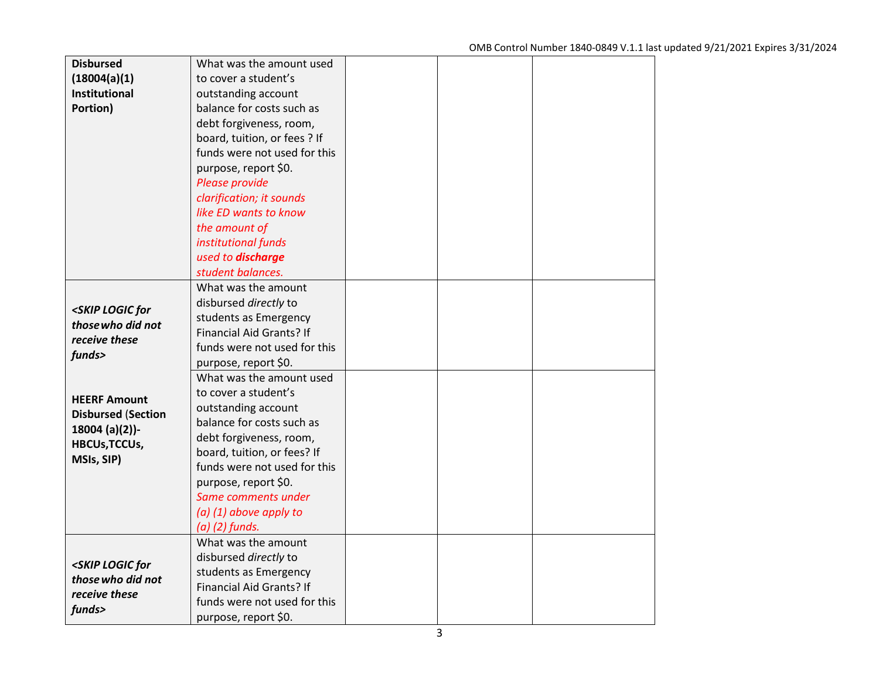| <b>Disbursed</b>                                                                     | What was the amount used     |  |  |
|--------------------------------------------------------------------------------------|------------------------------|--|--|
| (18004(a)(1)                                                                         | to cover a student's         |  |  |
| Institutional                                                                        | outstanding account          |  |  |
| Portion)                                                                             | balance for costs such as    |  |  |
|                                                                                      | debt forgiveness, room,      |  |  |
|                                                                                      | board, tuition, or fees ? If |  |  |
|                                                                                      | funds were not used for this |  |  |
|                                                                                      | purpose, report \$0.         |  |  |
|                                                                                      | Please provide               |  |  |
|                                                                                      | clarification; it sounds     |  |  |
|                                                                                      | like ED wants to know        |  |  |
|                                                                                      | the amount of                |  |  |
|                                                                                      | institutional funds          |  |  |
|                                                                                      | used to discharge            |  |  |
|                                                                                      | student balances.            |  |  |
|                                                                                      | What was the amount          |  |  |
|                                                                                      | disbursed directly to        |  |  |
| <skip for<="" logic="" th=""><th>students as Emergency</th><th></th><th></th></skip> | students as Emergency        |  |  |
| those who did not<br>receive these                                                   | Financial Aid Grants? If     |  |  |
|                                                                                      | funds were not used for this |  |  |
| funds>                                                                               | purpose, report \$0.         |  |  |
|                                                                                      | What was the amount used     |  |  |
| <b>HEERF Amount</b>                                                                  | to cover a student's         |  |  |
| <b>Disbursed (Section</b>                                                            | outstanding account          |  |  |
| $18004 (a)(2)$ )-                                                                    | balance for costs such as    |  |  |
| <b>HBCUs, TCCUs,</b>                                                                 | debt forgiveness, room,      |  |  |
| MSIs, SIP)                                                                           | board, tuition, or fees? If  |  |  |
|                                                                                      | funds were not used for this |  |  |
|                                                                                      | purpose, report \$0.         |  |  |
|                                                                                      | Same comments under          |  |  |
|                                                                                      | $(a)$ (1) above apply to     |  |  |
|                                                                                      | $(a)$ $(2)$ funds.           |  |  |
|                                                                                      | What was the amount          |  |  |
| <skip for<="" logic="" th=""><th>disbursed directly to</th><th></th><th></th></skip> | disbursed directly to        |  |  |
| those who did not                                                                    | students as Emergency        |  |  |
| receive these                                                                        | Financial Aid Grants? If     |  |  |
| funds>                                                                               | funds were not used for this |  |  |
|                                                                                      | purpose, report \$0.         |  |  |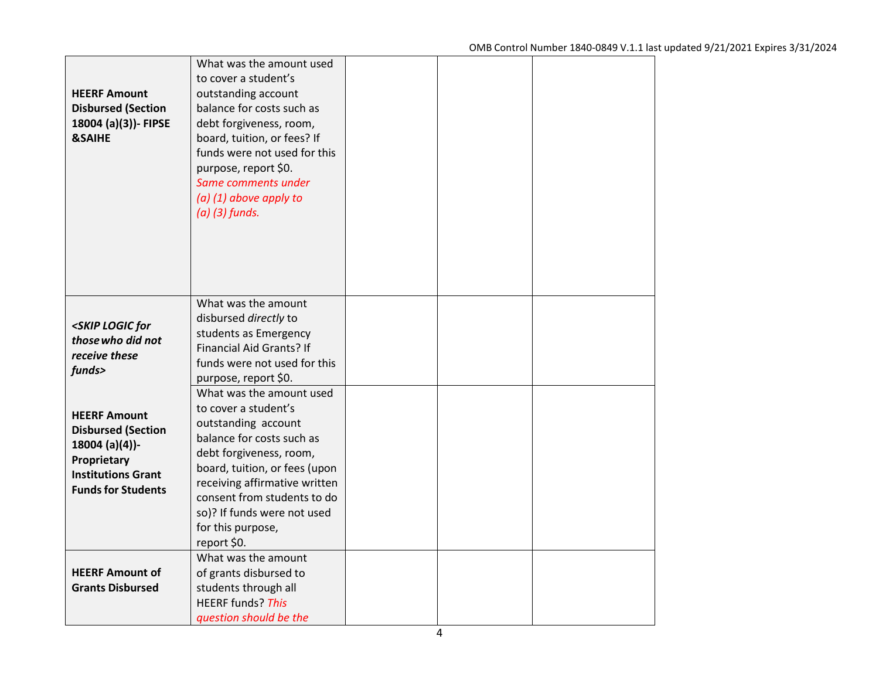| <b>HEERF Amount</b><br><b>Disbursed (Section</b><br>18004 (a)(3))- FIPSE<br><b>&amp;SAIHE</b>                                               | What was the amount used<br>to cover a student's<br>outstanding account<br>balance for costs such as<br>debt forgiveness, room,<br>board, tuition, or fees? If<br>funds were not used for this<br>purpose, report \$0.<br>Same comments under<br>$(a)$ (1) above apply to<br>$(a)$ (3) funds.       |  |  |
|---------------------------------------------------------------------------------------------------------------------------------------------|-----------------------------------------------------------------------------------------------------------------------------------------------------------------------------------------------------------------------------------------------------------------------------------------------------|--|--|
| <skip for<br="" logic="">those who did not<br/>receive these<br/>funds&gt;</skip>                                                           | What was the amount<br>disbursed directly to<br>students as Emergency<br>Financial Aid Grants? If<br>funds were not used for this<br>purpose, report \$0.                                                                                                                                           |  |  |
| <b>HEERF Amount</b><br><b>Disbursed (Section</b><br>18004 (a)(4))-<br>Proprietary<br><b>Institutions Grant</b><br><b>Funds for Students</b> | What was the amount used<br>to cover a student's<br>outstanding account<br>balance for costs such as<br>debt forgiveness, room,<br>board, tuition, or fees (upon<br>receiving affirmative written<br>consent from students to do<br>so)? If funds were not used<br>for this purpose,<br>report \$0. |  |  |
| <b>HEERF Amount of</b><br><b>Grants Disbursed</b>                                                                                           | What was the amount<br>of grants disbursed to<br>students through all<br><b>HEERF</b> funds? This<br>question should be the                                                                                                                                                                         |  |  |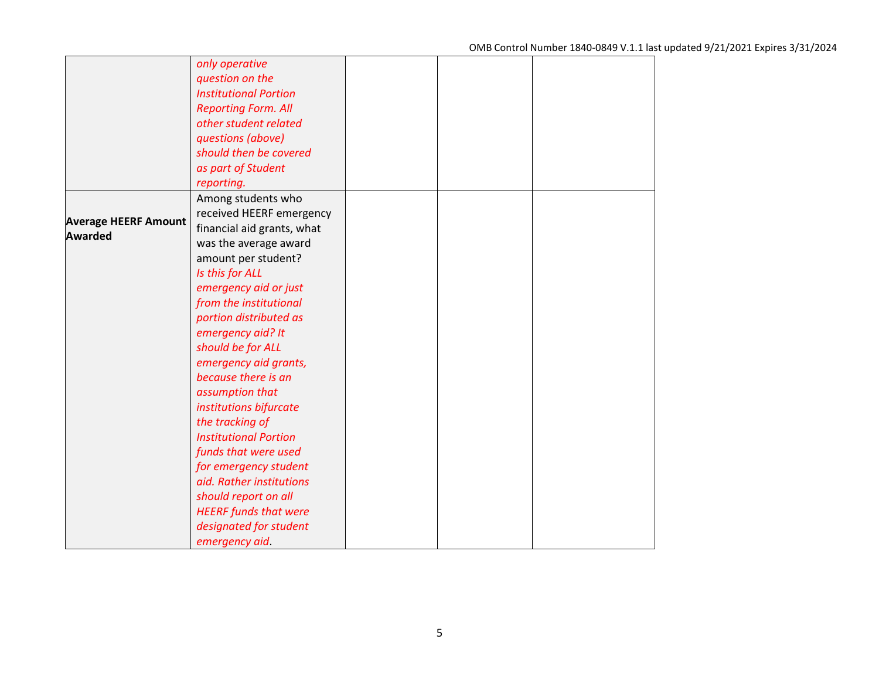|                             | only operative               |  |  |
|-----------------------------|------------------------------|--|--|
|                             | question on the              |  |  |
|                             | <b>Institutional Portion</b> |  |  |
|                             | <b>Reporting Form. All</b>   |  |  |
|                             | other student related        |  |  |
|                             | questions (above)            |  |  |
|                             | should then be covered       |  |  |
|                             | as part of Student           |  |  |
|                             | reporting.                   |  |  |
|                             | Among students who           |  |  |
|                             | received HEERF emergency     |  |  |
| <b>Average HEERF Amount</b> | financial aid grants, what   |  |  |
| <b>Awarded</b>              | was the average award        |  |  |
|                             | amount per student?          |  |  |
|                             | Is this for ALL              |  |  |
|                             | emergency aid or just        |  |  |
|                             | from the institutional       |  |  |
|                             | portion distributed as       |  |  |
|                             | emergency aid? It            |  |  |
|                             | should be for ALL            |  |  |
|                             | emergency aid grants,        |  |  |
|                             | because there is an          |  |  |
|                             | assumption that              |  |  |
|                             | institutions bifurcate       |  |  |
|                             | the tracking of              |  |  |
|                             | <b>Institutional Portion</b> |  |  |
|                             | funds that were used         |  |  |
|                             | for emergency student        |  |  |
|                             | aid. Rather institutions     |  |  |
|                             | should report on all         |  |  |
|                             | <b>HEERF</b> funds that were |  |  |
|                             | designated for student       |  |  |
|                             | emergency aid.               |  |  |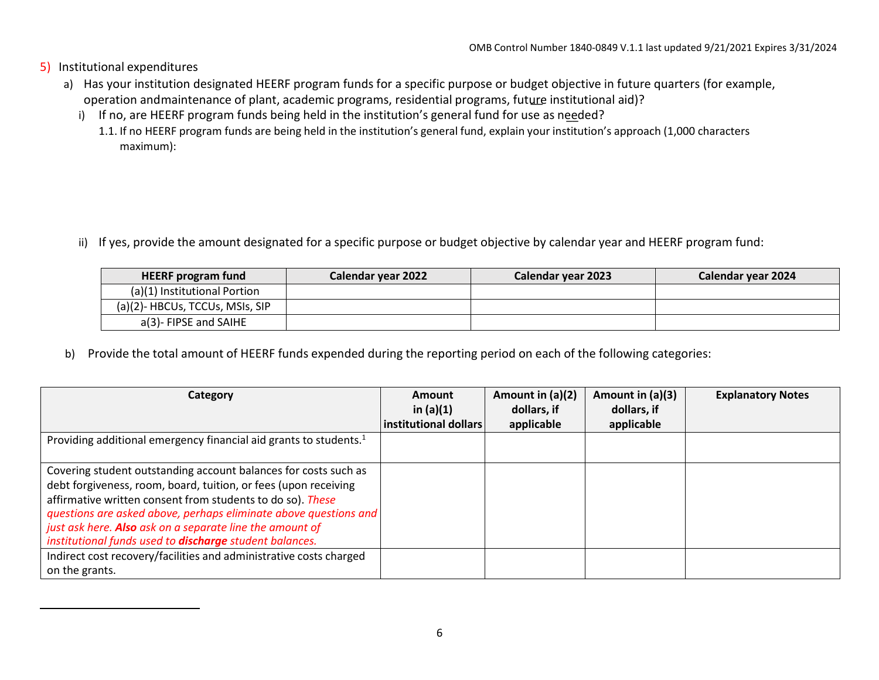- 5) Institutional expenditures
	- operation andmaintenance of plant, academic programs, residential programs, future institutional aid)? a) Has your institution designated HEERF program funds for a specific purpose or budget objective in future quarters (for example,
		- i) If no, are HEERF program funds being held in the institution's general fund for use as needed?
			- 1.1. If no HEERF program funds are being held in the institution's general fund, explain your institution's approach (1,000 characters maximum):

ii) If yes, provide the amount designated for a specific purpose or budget objective by calendar year and HEERF program fund:

<span id="page-7-0"></span>

| <b>HEERF program fund</b>       | Calendar year 2022 | Calendar year 2023 | Calendar year 2024 |
|---------------------------------|--------------------|--------------------|--------------------|
| (a)(1) Institutional Portion    |                    |                    |                    |
| (a)(2)- HBCUs, TCCUs, MSIs, SIP |                    |                    |                    |
| a(3)- FIPSE and SAIHE           |                    |                    |                    |

b) Provide the total amount of HEERF funds expended during the reporting period on each of the following categories:

| Category                                                                                                                                                                                                                                                                                                                                                                                           | Amount                               | Amount in (a)(2) | Amount in $(a)(3)$ | <b>Explanatory Notes</b> |
|----------------------------------------------------------------------------------------------------------------------------------------------------------------------------------------------------------------------------------------------------------------------------------------------------------------------------------------------------------------------------------------------------|--------------------------------------|------------------|--------------------|--------------------------|
|                                                                                                                                                                                                                                                                                                                                                                                                    | in $(a)(1)$<br>institutional dollars | dollars, if      | dollars, if        |                          |
|                                                                                                                                                                                                                                                                                                                                                                                                    |                                      | applicable       | applicable         |                          |
| Providing additional emergency financial aid grants to students. <sup>1</sup>                                                                                                                                                                                                                                                                                                                      |                                      |                  |                    |                          |
| Covering student outstanding account balances for costs such as<br>debt forgiveness, room, board, tuition, or fees (upon receiving<br>affirmative written consent from students to do so). These<br>questions are asked above, perhaps eliminate above questions and<br>just ask here. Also ask on a separate line the amount of<br>institutional funds used to <b>discharge</b> student balances. |                                      |                  |                    |                          |
| Indirect cost recovery/facilities and administrative costs charged<br>on the grants.                                                                                                                                                                                                                                                                                                               |                                      |                  |                    |                          |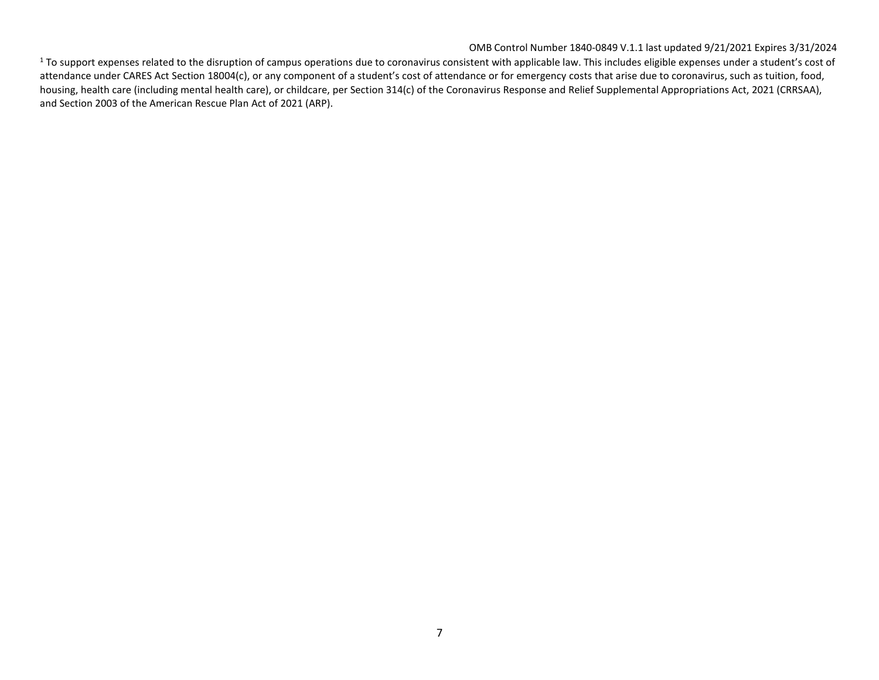## OMB Control Number 1840-0849 V.1.1 last updated 9/21/2021 Expires 3/31/2024

 $1$  To support expenses related to the disruption of campus operations due to coronavirus consistent with applicable law. This includes eligible expenses under a student's cost of attendance under CARES Act Section 18004(c), or any component of a student's cost of attendance or for emergency costs that arise due to coronavirus, such as tuition, food, housing, health care (including mental health care), or childcare, per Section 314(c) of the Coronavirus Response and Relief Supplemental Appropriations Act, 2021 (CRRSAA), and Section 2003 of the American Rescue Plan Act of 2021 (ARP).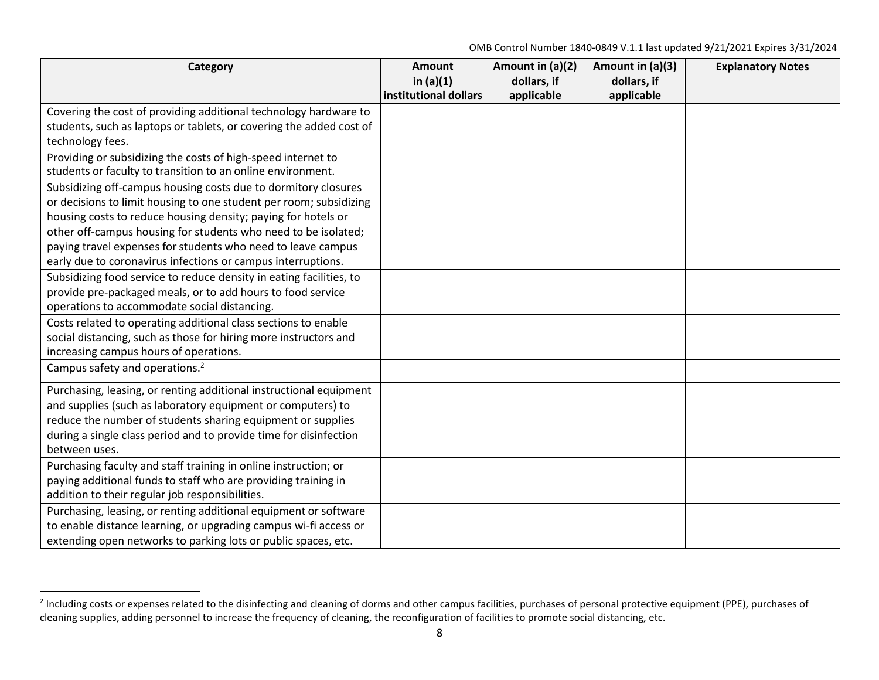<span id="page-9-0"></span>OMB Control Number 1840-0849 V.1.1 last updated 9/21/2021 Expires 3/31/2024

| Category                                                            | Amount<br>in $(a)(1)$<br>institutional dollars | Amount in (a)(2)<br>dollars, if<br>applicable | Amount in (a)(3)<br>dollars, if<br>applicable | <b>Explanatory Notes</b> |
|---------------------------------------------------------------------|------------------------------------------------|-----------------------------------------------|-----------------------------------------------|--------------------------|
| Covering the cost of providing additional technology hardware to    |                                                |                                               |                                               |                          |
| students, such as laptops or tablets, or covering the added cost of |                                                |                                               |                                               |                          |
| technology fees.                                                    |                                                |                                               |                                               |                          |
| Providing or subsidizing the costs of high-speed internet to        |                                                |                                               |                                               |                          |
| students or faculty to transition to an online environment.         |                                                |                                               |                                               |                          |
| Subsidizing off-campus housing costs due to dormitory closures      |                                                |                                               |                                               |                          |
| or decisions to limit housing to one student per room; subsidizing  |                                                |                                               |                                               |                          |
| housing costs to reduce housing density; paying for hotels or       |                                                |                                               |                                               |                          |
| other off-campus housing for students who need to be isolated;      |                                                |                                               |                                               |                          |
| paying travel expenses for students who need to leave campus        |                                                |                                               |                                               |                          |
| early due to coronavirus infections or campus interruptions.        |                                                |                                               |                                               |                          |
| Subsidizing food service to reduce density in eating facilities, to |                                                |                                               |                                               |                          |
| provide pre-packaged meals, or to add hours to food service         |                                                |                                               |                                               |                          |
| operations to accommodate social distancing.                        |                                                |                                               |                                               |                          |
| Costs related to operating additional class sections to enable      |                                                |                                               |                                               |                          |
| social distancing, such as those for hiring more instructors and    |                                                |                                               |                                               |                          |
| increasing campus hours of operations.                              |                                                |                                               |                                               |                          |
| Campus safety and operations. <sup>2</sup>                          |                                                |                                               |                                               |                          |
| Purchasing, leasing, or renting additional instructional equipment  |                                                |                                               |                                               |                          |
| and supplies (such as laboratory equipment or computers) to         |                                                |                                               |                                               |                          |
| reduce the number of students sharing equipment or supplies         |                                                |                                               |                                               |                          |
| during a single class period and to provide time for disinfection   |                                                |                                               |                                               |                          |
| between uses.                                                       |                                                |                                               |                                               |                          |
| Purchasing faculty and staff training in online instruction; or     |                                                |                                               |                                               |                          |
| paying additional funds to staff who are providing training in      |                                                |                                               |                                               |                          |
| addition to their regular job responsibilities.                     |                                                |                                               |                                               |                          |
| Purchasing, leasing, or renting additional equipment or software    |                                                |                                               |                                               |                          |
| to enable distance learning, or upgrading campus wi-fi access or    |                                                |                                               |                                               |                          |
| extending open networks to parking lots or public spaces, etc.      |                                                |                                               |                                               |                          |

<sup>&</sup>lt;sup>2</sup> Including costs or expenses related to the disinfecting and cleaning of dorms and other campus facilities, purchases of personal protective equipment (PPE), purchases of cleaning supplies, adding personnel to increase the frequency of cleaning, the reconfiguration of facilities to promote social distancing, etc.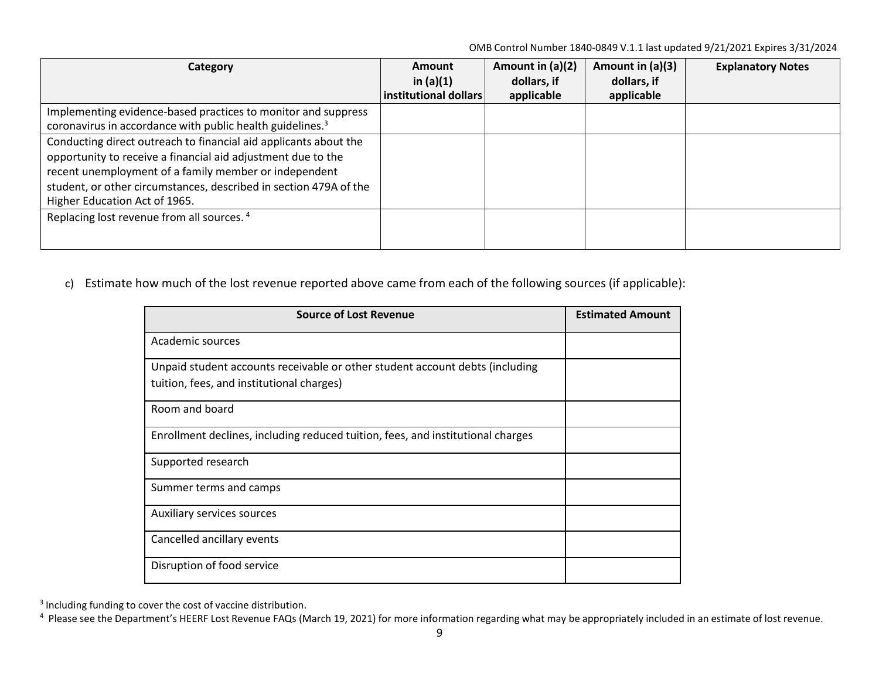<span id="page-10-1"></span><span id="page-10-0"></span>OMB Control Number 1840-0849 V.1.1 last updated 9/21/2021 Expires 3/31/2024

| Category                                                              | Amount                | Amount in (a)(2) | Amount in (a)(3) | <b>Explanatory Notes</b> |
|-----------------------------------------------------------------------|-----------------------|------------------|------------------|--------------------------|
|                                                                       | in $(a)(1)$           | dollars, if      | dollars, if      |                          |
|                                                                       | institutional dollars | applicable       | applicable       |                          |
| Implementing evidence-based practices to monitor and suppress         |                       |                  |                  |                          |
| coronavirus in accordance with public health guidelines. <sup>3</sup> |                       |                  |                  |                          |
| Conducting direct outreach to financial aid applicants about the      |                       |                  |                  |                          |
| opportunity to receive a financial aid adjustment due to the          |                       |                  |                  |                          |
| recent unemployment of a family member or independent                 |                       |                  |                  |                          |
| student, or other circumstances, described in section 479A of the     |                       |                  |                  |                          |
| Higher Education Act of 1965.                                         |                       |                  |                  |                          |
| Replacing lost revenue from all sources. <sup>4</sup>                 |                       |                  |                  |                          |
|                                                                       |                       |                  |                  |                          |
|                                                                       |                       |                  |                  |                          |

c) Estimate how much of the lost revenue reported above came from each of the following sources (if applicable):

| <b>Source of Lost Revenue</b>                                                   | <b>Estimated Amount</b> |
|---------------------------------------------------------------------------------|-------------------------|
| Academic sources                                                                |                         |
| Unpaid student accounts receivable or other student account debts (including    |                         |
| tuition, fees, and institutional charges)                                       |                         |
| Room and board                                                                  |                         |
| Enrollment declines, including reduced tuition, fees, and institutional charges |                         |
| Supported research                                                              |                         |
| Summer terms and camps                                                          |                         |
| Auxiliary services sources                                                      |                         |
| Cancelled ancillary events                                                      |                         |
| Disruption of food service                                                      |                         |

<sup>3</sup> Including funding to cover the cost of vaccine distribution.

<sup>4</sup> Please see the Department's HEERF Lost Revenue FAQs (March 19, 2021) for more information regarding what may be appropriately included in an estimate of lost revenue.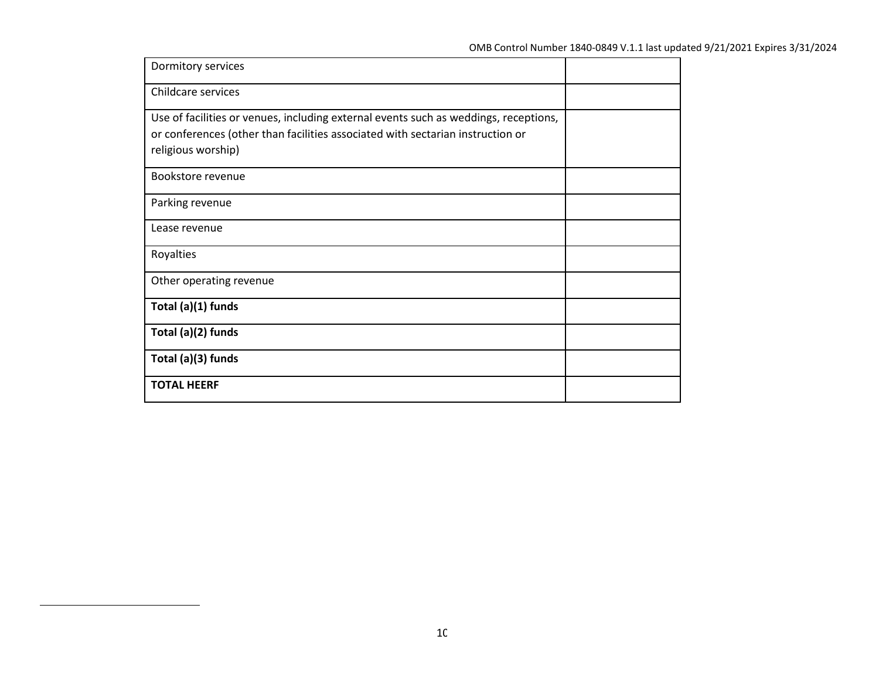| Dormitory services                                                                                                                                                                           |  |
|----------------------------------------------------------------------------------------------------------------------------------------------------------------------------------------------|--|
| Childcare services                                                                                                                                                                           |  |
| Use of facilities or venues, including external events such as weddings, receptions,<br>or conferences (other than facilities associated with sectarian instruction or<br>religious worship) |  |
| Bookstore revenue                                                                                                                                                                            |  |
| Parking revenue                                                                                                                                                                              |  |
| Lease revenue                                                                                                                                                                                |  |
| Royalties                                                                                                                                                                                    |  |
| Other operating revenue                                                                                                                                                                      |  |
| Total (a)(1) funds                                                                                                                                                                           |  |
| Total (a)(2) funds                                                                                                                                                                           |  |
| Total (a)(3) funds                                                                                                                                                                           |  |
| <b>TOTAL HEERF</b>                                                                                                                                                                           |  |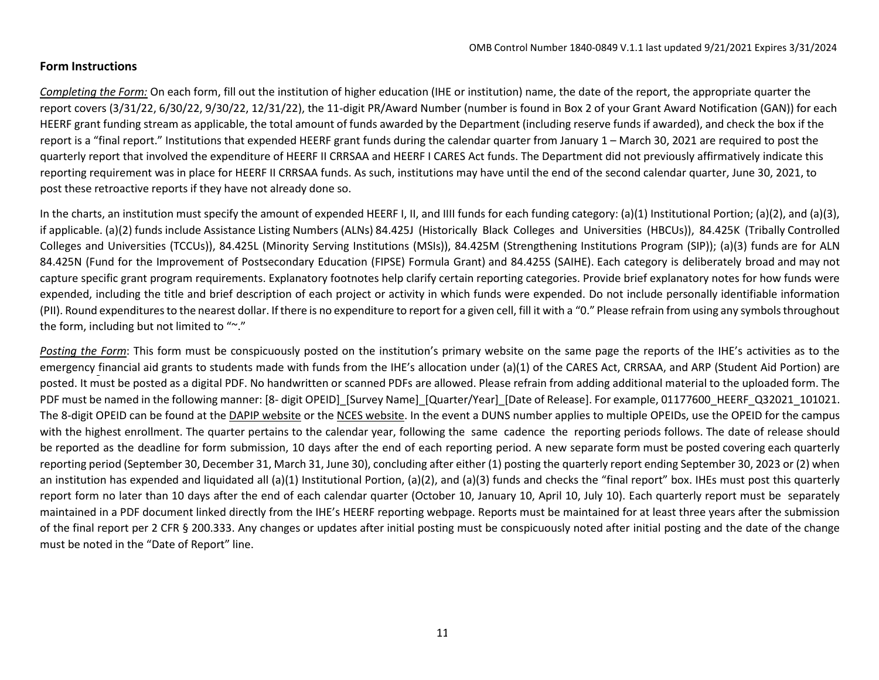## **Form Instructions**

*[Completing the Form:](mailto:HEERFreporting@ed.gov)* On each form, fill out the institution of higher education (IHE or institution) name, the date of the report, the appropriate quarter the report covers (3/31/22, 6/30/22, 9/30/22, 12/31/22), the 11-digit PR/Award Number (number is found in Box 2 of your Grant Award Notification (GAN)) for each HEERF grant funding stream as applicable, the total amount of funds awarded by the Department (including reserve funds if awarded), and check the box if the report is a "final report." Institutions that expended HEERF grant funds during the calendar quarter from January 1 – March 30, 2021 are required to post the quarterly report that involved the expenditure of HEERF II CRRSAA and HEERF I CARES Act funds. The Department did not previously affirmatively indicate this reporting requirement was in place for HEERF II CRRSAA funds. As such, institutions may have until the end of the second calendar quarter, June 30, 2021, to post these retroactive reports if they have not already done so.

In the charts, an institution must specify the amount of expended HEERF I, II, and IIII funds for each funding category: (a)(1) Institutional Portion; (a)(2), and (a)(3), if applicable. (a)(2) funds include Assistance Listing Numbers (ALNs) 84.425J (Historically Black Colleges and Universities (HBCUs)), 84.425K (Tribally Controlled Colleges and Universities (TCCUs)), 84.425L (Minority Serving Institutions (MSIs)), 84.425M (Strengthening Institutions Program (SIP)); (a)(3) funds are for ALN 84.425N (Fund for the Improvement of Postsecondary Education (FIPSE) Formula Grant) and 84.425S (SAIHE). Each category is deliberately broad and may not capture specific grant program requirements. Explanatory footnotes help clarify certain reporting categories. Provide brief explanatory notes for how funds were expended, including the title and brief description of each project or activity in which funds were expended. Do not include personally identifiable information (PII). Round expenditures to the nearest dollar. If there is no expenditure to report for a given cell, fill it with a "0." Please refrain from using any symbolsthroughout the form, including but not limited to "~."

*Posting the Form*: This form must be conspicuously posted on the institution's primary website on the same page the reports of the IHE's activities as to the emergency financial aid grants to students made with funds from the IHE's allocation under (a)(1) of the CARES Act, CRRSAA, and ARP (Student Aid Portion) are posted. It must be posted as a digital PDF. No handwritten or scanned PDFs are allowed. Please refrain from adding additional material to the uploaded form. The PDF must be named in the following manner: [8- digit OPEID] [Survey Name] [Quarter/Year] [Date of Release]. For example, 01177600 HEERF Q32021 101021. The 8-digit OPEID can be found at the [DAPIP website](https://ope.ed.gov/dapip/%23/home) or the [NCES website. I](https://nces.ed.gov/collegenavigator/)n the event a DUNS number applies to multiple OPEIDs, use the OPEID for the campus with the highest enrollment. The quarter pertains to the calendar year, following the same cadence the reporting periods follows. The date of release should be reported as the deadline for form submission, 10 days after the end of each reporting period. A new separate form must be posted covering each quarterly reporting period (September 30, December 31, March 31, June 30), concluding after either (1) posting the quarterly report ending September 30, 2023 or (2) when an institution has expended and liquidated all (a)(1) Institutional Portion, (a)(2), and (a)(3) funds and checks the "final report" box. IHEs must post this quarterly report form no later than 10 days after the end of each calendar quarter (October 10, January 10, April 10, July 10). Each quarterly report must be separately maintained in a PDF document linked directly from the IHE's HEERF reporting webpage. Reports must be maintained for at least three years after the submission of the final report per 2 CFR § 200.333. Any changes or updates after initial posting must be conspicuously noted after initial posting and the date of the change must be noted in the "Date of Report" line.